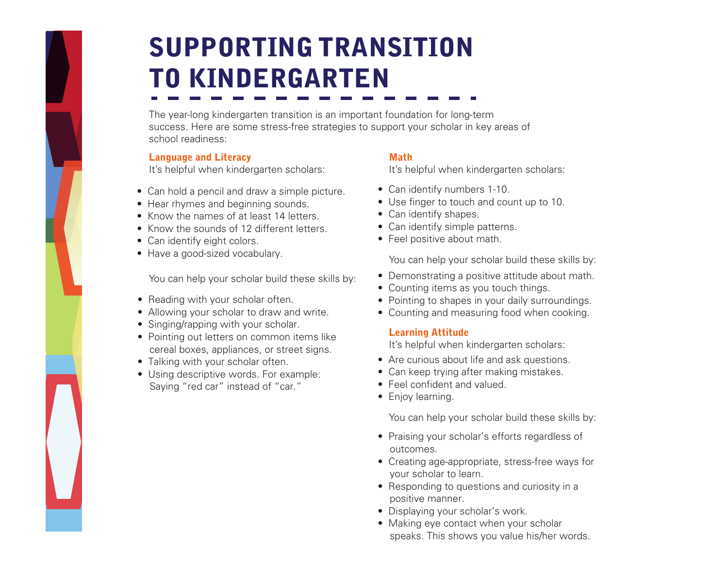# SUPPORTING TRANSITION TO KINDERGARTEN

The year-long kindergarten transition is an important foundation for long-term success. Here are some stress-free strategies to support your scholar in key areas of school readiness:

#### Language and Literacy

It's helpful when kindergarten scholars:

- Can hold a pencil and draw a simple picture.
- Hear rhymes and beginning sounds.
- Know the names of at least 14 letters.
- Know the sounds of 12 different letters.
- Can identify eight colors.
- Have a good-sized vocabulary.

You can help your scholar build these skills by:

- Reading with your scholar often.
- Allowing your scholar to draw and write.
- Singing/rapping with your scholar.
- Pointing out letters on common items like cereal boxes, appliances, or street signs.
- Talking with your scholar often.
- Using descriptive words. For example: Saying "red car" instead of "car."

# Math

It's helpful when kindergarten scholars:

- Can identify numbers 1-10.
- Use finger to touch and count up to 10.
- Can identify shapes.
- Can identify simple patterns.
- Feel positive about math.

You can help your scholar build these skills by:

- Demonstrating a positive attitude about math.
- Counting items as you touch things.
- Pointing to shapes in your daily surroundings.
- Counting and measuring food when cooking.

## Learning Attitude

It's helpful when kindergarten scholars:

- Are curious about life and ask questions.
- Can keep trying after making mistakes.
- Feel confident and valued.
- Enjoy learning.

You can help your scholar build these skills by:

- Praising your scholar's efforts regardless of outcomes.
- Creating age-appropriate, stress-free ways for your scholar to learn.
- Responding to questions and curiosity in a positive manner.
- Displaying your scholar's work.
- Making eye contact when your scholar speaks. This shows you value his/her words.